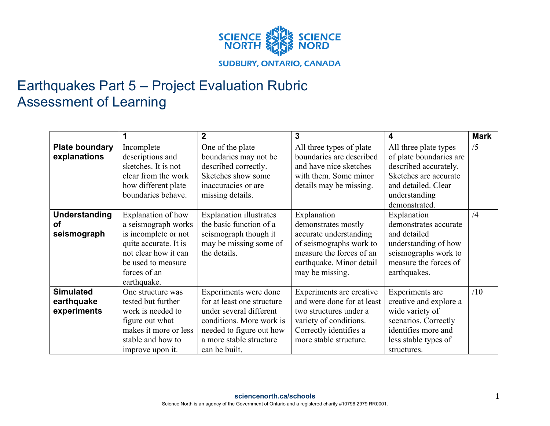

## Earthquakes Part 5 – Project Evaluation Rubric Assessment of Learning

|                                                  |                                                                                                                                                                         | $\overline{2}$                                                                                                                                                                     | 3                                                                                                                                                                  | 4                                                                                                                                                           | <b>Mark</b> |
|--------------------------------------------------|-------------------------------------------------------------------------------------------------------------------------------------------------------------------------|------------------------------------------------------------------------------------------------------------------------------------------------------------------------------------|--------------------------------------------------------------------------------------------------------------------------------------------------------------------|-------------------------------------------------------------------------------------------------------------------------------------------------------------|-------------|
| <b>Plate boundary</b><br>explanations            | Incomplete<br>descriptions and<br>sketches. It is not<br>clear from the work<br>how different plate<br>boundaries behave.                                               | One of the plate<br>boundaries may not be<br>described correctly.<br>Sketches show some<br>inaccuracies or are<br>missing details.                                                 | All three types of plate<br>boundaries are described<br>and have nice sketches<br>with them. Some minor<br>details may be missing.                                 | All three plate types<br>of plate boundaries are<br>described accurately.<br>Sketches are accurate<br>and detailed. Clear<br>understanding<br>demonstrated. | /5          |
| <b>Understanding</b><br><b>of</b><br>seismograph | Explanation of how<br>a seismograph works<br>is incomplete or not<br>quite accurate. It is<br>not clear how it can<br>be used to measure<br>forces of an<br>earthquake. | <b>Explanation illustrates</b><br>the basic function of a<br>seismograph though it<br>may be missing some of<br>the details.                                                       | Explanation<br>demonstrates mostly<br>accurate understanding<br>of seismographs work to<br>measure the forces of an<br>earthquake. Minor detail<br>may be missing. | Explanation<br>demonstrates accurate<br>and detailed<br>understanding of how<br>seismographs work to<br>measure the forces of<br>earthquakes.               | /4          |
| <b>Simulated</b><br>earthquake<br>experiments    | One structure was<br>tested but further<br>work is needed to<br>figure out what<br>makes it more or less<br>stable and how to<br>improve upon it.                       | Experiments were done<br>for at least one structure<br>under several different<br>conditions. More work is<br>needed to figure out how<br>a more stable structure<br>can be built. | Experiments are creative<br>and were done for at least<br>two structures under a<br>variety of conditions.<br>Correctly identifies a<br>more stable structure.     | Experiments are<br>creative and explore a<br>wide variety of<br>scenarios. Correctly<br>identifies more and<br>less stable types of<br>structures.          | /10         |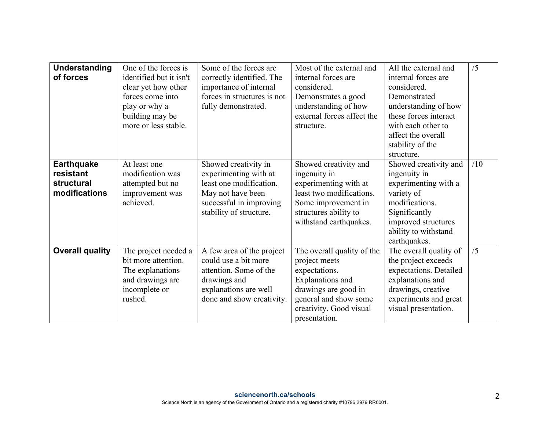| <b>Understanding</b><br>of forces                             | One of the forces is<br>identified but it isn't<br>clear yet how other<br>forces come into<br>play or why a<br>building may be<br>more or less stable. | Some of the forces are<br>correctly identified. The<br>importance of internal<br>forces in structures is not<br>fully demonstrated.                 | Most of the external and<br>internal forces are<br>considered.<br>Demonstrates a good<br>understanding of how<br>external forces affect the<br>structure.                            | All the external and<br>internal forces are<br>considered.<br>Demonstrated<br>understanding of how<br>these forces interact<br>with each other to<br>affect the overall<br>stability of the<br>structure. | /5  |
|---------------------------------------------------------------|--------------------------------------------------------------------------------------------------------------------------------------------------------|-----------------------------------------------------------------------------------------------------------------------------------------------------|--------------------------------------------------------------------------------------------------------------------------------------------------------------------------------------|-----------------------------------------------------------------------------------------------------------------------------------------------------------------------------------------------------------|-----|
| <b>Earthquake</b><br>resistant<br>structural<br>modifications | At least one<br>modification was<br>attempted but no<br>improvement was<br>achieved.                                                                   | Showed creativity in<br>experimenting with at<br>least one modification.<br>May not have been<br>successful in improving<br>stability of structure. | Showed creativity and<br>ingenuity in<br>experimenting with at<br>least two modifications.<br>Some improvement in<br>structures ability to<br>withstand earthquakes.                 | Showed creativity and<br>ingenuity in<br>experimenting with a<br>variety of<br>modifications.<br>Significantly<br>improved structures<br>ability to withstand<br>earthquakes.                             | /10 |
| <b>Overall quality</b>                                        | The project needed a<br>bit more attention.<br>The explanations<br>and drawings are<br>incomplete or<br>rushed.                                        | A few area of the project<br>could use a bit more<br>attention. Some of the<br>drawings and<br>explanations are well<br>done and show creativity.   | The overall quality of the<br>project meets<br>expectations.<br><b>Explanations</b> and<br>drawings are good in<br>general and show some<br>creativity. Good visual<br>presentation. | The overall quality of<br>the project exceeds<br>expectations. Detailed<br>explanations and<br>drawings, creative<br>experiments and great<br>visual presentation.                                        | /5  |